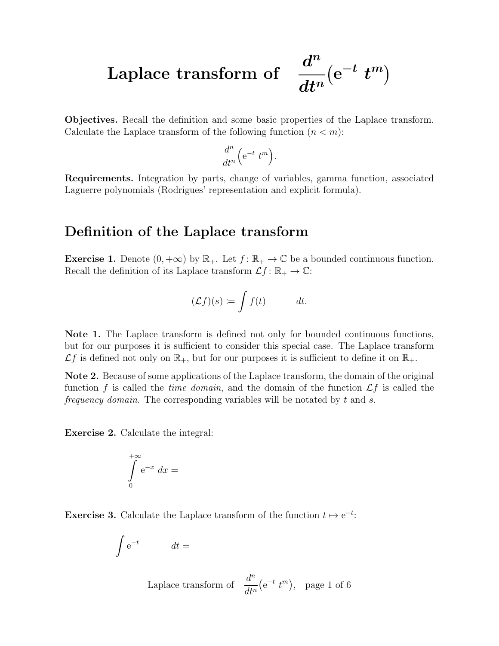Laplace transform of

 $\overline{d}^n$  $dt^n$  $(e^{-t} t^m)$ 

Objectives. Recall the definition and some basic properties of the Laplace transform. Calculate the Laplace transform of the following function  $(n < m)$ :

$$
\frac{d^n}{dt^n} \Big( e^{-t} t^m \Big).
$$

Requirements. Integration by parts, change of variables, gamma function, associated Laguerre polynomials (Rodrigues' representation and explicit formula).

## Definition of the Laplace transform

**Exercise 1.** Denote  $(0, +\infty)$  by  $\mathbb{R}_+$ . Let  $f : \mathbb{R}_+ \to \mathbb{C}$  be a bounded continuous function. Recall the definition of its Laplace transform  $\mathcal{L}f: \mathbb{R}_+ \to \mathbb{C}$ :

$$
(\mathcal{L}f)(s) \coloneqq \int f(t) \qquad dt.
$$

Note 1. The Laplace transform is defined not only for bounded continuous functions, but for our purposes it is sufficient to consider this special case. The Laplace transform  $\mathcal{L}f$  is defined not only on  $\mathbb{R}_+$ , but for our purposes it is sufficient to define it on  $\mathbb{R}_+$ .

Note 2. Because of some applications of the Laplace transform, the domain of the original function f is called the time domain, and the domain of the function  $\mathcal{L}f$  is called the frequency domain. The corresponding variables will be notated by  $t$  and  $s$ .

Exercise 2. Calculate the integral:

$$
\int\limits_{0}^{+\infty} \mathrm{e}^{-x} \ dx =
$$

**Exercise 3.** Calculate the Laplace transform of the function  $t \mapsto e^{-t}$ :

$$
\int e^{-t} \qquad dt =
$$

Laplace transform of  $\frac{d^n}{dx^n}$  $dt^n$  $(e^{-t} t^m)$ , page 1 of 6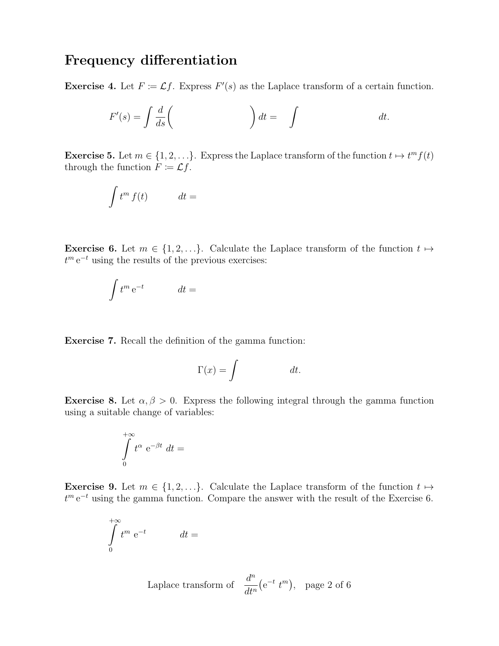## Frequency differentiation

**Exercise 4.** Let  $F \coloneqq \mathcal{L}f$ . Express  $F'(s)$  as the Laplace transform of a certain function.

$$
F'(s) = \int \frac{d}{ds} \left( \qquad \qquad \right) dt = \int dt.
$$

**Exercise 5.** Let  $m \in \{1, 2, ...\}$ . Express the Laplace transform of the function  $t \mapsto t^m f(t)$ through the function  $F \coloneqq \mathcal{L}f$ .

$$
\int t^m f(t) \qquad dt =
$$

**Exercise 6.** Let  $m \in \{1, 2, ...\}$ . Calculate the Laplace transform of the function  $t \mapsto$  $t^m e^{-t}$  using the results of the previous exercises:

$$
\int t^m \, \mathrm{e}^{-t} \qquad dt =
$$

Exercise 7. Recall the definition of the gamma function:

$$
\Gamma(x) = \int \t dt.
$$

**Exercise 8.** Let  $\alpha, \beta > 0$ . Express the following integral through the gamma function using a suitable change of variables:

$$
\int\limits_{0}^{+\infty} t^{\alpha} e^{-\beta t} dt =
$$

**Exercise 9.** Let  $m \in \{1, 2, ...\}$ . Calculate the Laplace transform of the function  $t \mapsto$  $t^m e^{-t}$  using the gamma function. Compare the answer with the result of the Exercise 6.

$$
\int_{0}^{+\infty} t^{m} e^{-t} \qquad dt =
$$

Laplace transform of  $\frac{d^n}{dx^n}$  $dt^n$  $(e^{-t} t^m)$ , page 2 of 6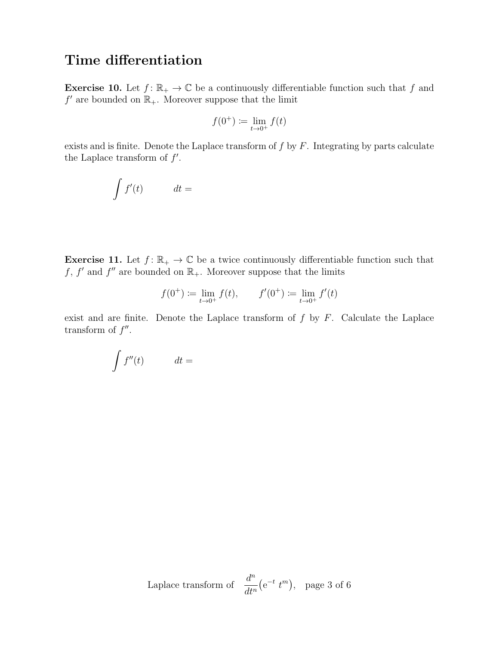## Time differentiation

**Exercise 10.** Let  $f: \mathbb{R}_+ \to \mathbb{C}$  be a continuously differentiable function such that f and  $f'$  are bounded on  $\mathbb{R}_+$ . Moreover suppose that the limit

$$
f(0^+):=\lim_{t\to 0^+}f(t)
$$

exists and is finite. Denote the Laplace transform of  $f$  by  $F$ . Integrating by parts calculate the Laplace transform of  $f'$ .

$$
\int f'(t) \qquad dt =
$$

**Exercise 11.** Let  $f: \mathbb{R}_+ \to \mathbb{C}$  be a twice continuously differentiable function such that f, f' and f'' are bounded on  $\mathbb{R}_+$ . Moreover suppose that the limits

$$
f(0^+) := \lim_{t \to 0^+} f(t), \qquad f'(0^+) := \lim_{t \to 0^+} f'(t)
$$

exist and are finite. Denote the Laplace transform of  $f$  by  $F$ . Calculate the Laplace transform of  $f''$ .

$$
\int f''(t) \qquad dt =
$$

Laplace transform of 
$$
\frac{d^n}{dt^n}(e^{-t} t^m)
$$
, page 3 of 6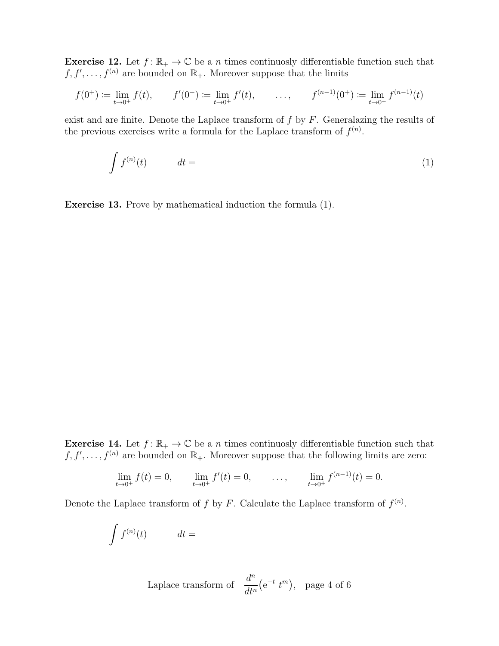**Exercise 12.** Let  $f: \mathbb{R}_+ \to \mathbb{C}$  be a n times continuosly differentiable function such that  $f, f', \ldots, f^{(n)}$  are bounded on  $\mathbb{R}_+$ . Moreover suppose that the limits

$$
f(0^+) := \lim_{t \to 0^+} f(t), \qquad f'(0^+) := \lim_{t \to 0^+} f'(t), \qquad \dots, \qquad f^{(n-1)}(0^+) := \lim_{t \to 0^+} f^{(n-1)}(t)
$$

exist and are finite. Denote the Laplace transform of  $f$  by  $F$ . Generalazing the results of the previous exercises write a formula for the Laplace transform of  $f^{(n)}$ .

$$
\int f^{(n)}(t) \qquad dt = \tag{1}
$$

Exercise 13. Prove by mathematical induction the formula (1).

**Exercise 14.** Let  $f: \mathbb{R}_+ \to \mathbb{C}$  be a n times continuosly differentiable function such that  $f, f', \ldots, f^{(n)}$  are bounded on  $\mathbb{R}_+$ . Moreover suppose that the following limits are zero:

$$
\lim_{t \to 0^+} f(t) = 0, \qquad \lim_{t \to 0^+} f'(t) = 0, \qquad \dots, \qquad \lim_{t \to 0^+} f^{(n-1)}(t) = 0.
$$

Denote the Laplace transform of f by F. Calculate the Laplace transform of  $f^{(n)}$ .

$$
\int f^{(n)}(t) \qquad dt =
$$

Laplace transform of  $\frac{d^n}{dx^n}$  $dt^n$  $(e^{-t} t^m)$ , page 4 of 6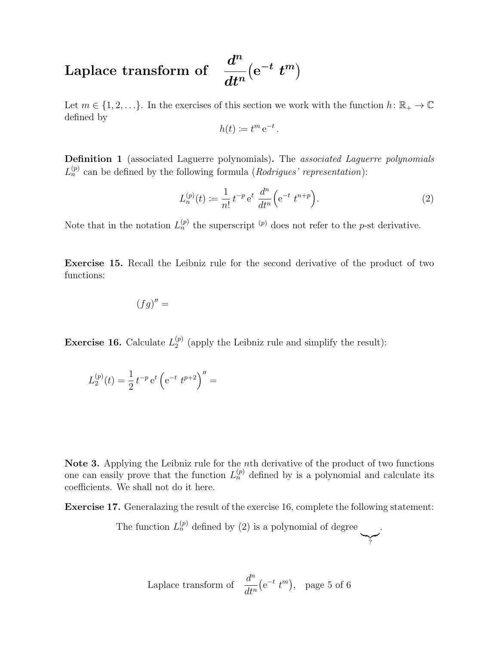## Laplace transform of  $\overline{d}^n$  $dt^n$  $(e^{-t} t^m)$

Let  $m \in \{1, 2, \ldots\}$ . In the exercises of this section we work with the function  $h: \mathbb{R}_+ \to \mathbb{C}$ defined by

$$
h(t) \coloneqq t^m e^{-t}.
$$

Definition 1 (associated Laguerre polynomials). The associated Laguerre polynomials  $L_n^{(p)}$  can be defined by the following formula (*Rodrigues' representation*):

$$
L_n^{(p)}(t) := \frac{1}{n!} t^{-p} e^t \frac{d^n}{dt^n} \left( e^{-t} t^{n+p} \right).
$$
 (2)

Note that in the notation  $L_n^{(p)}$  the superscript <sup>(p)</sup> does not refer to the p-st derivative.

Exercise 15. Recall the Leibniz rule for the second derivative of the product of two functions:

$$
(fg)'' =
$$

**Exercise 16.** Calculate  $L_2^{(p)}$  $2^{(p)}$  (apply the Leibniz rule and simplify the result):

$$
L_2^{(p)}(t) = \frac{1}{2} t^{-p} e^t \left( e^{-t} t^{p+2} \right)^{\prime\prime} =
$$

Note 3. Applying the Leibniz rule for the nth derivative of the product of two functions one can easily prove that the function  $L_n^{(p)}$  defined by is a polynomial and calculate its coefficients. We shall not do it here.

Exercise 17. Generalazing the result of the exercise 16, complete the following statement:

The function  $L_n^{(p)}$  defined by (2) is a polynomial of degree  $\sum_{i=1}^{n}$ 

?

.

Laplace transform of 
$$
\frac{d^n}{dt^n}(e^{-t} t^m)
$$
, page 5 of 6